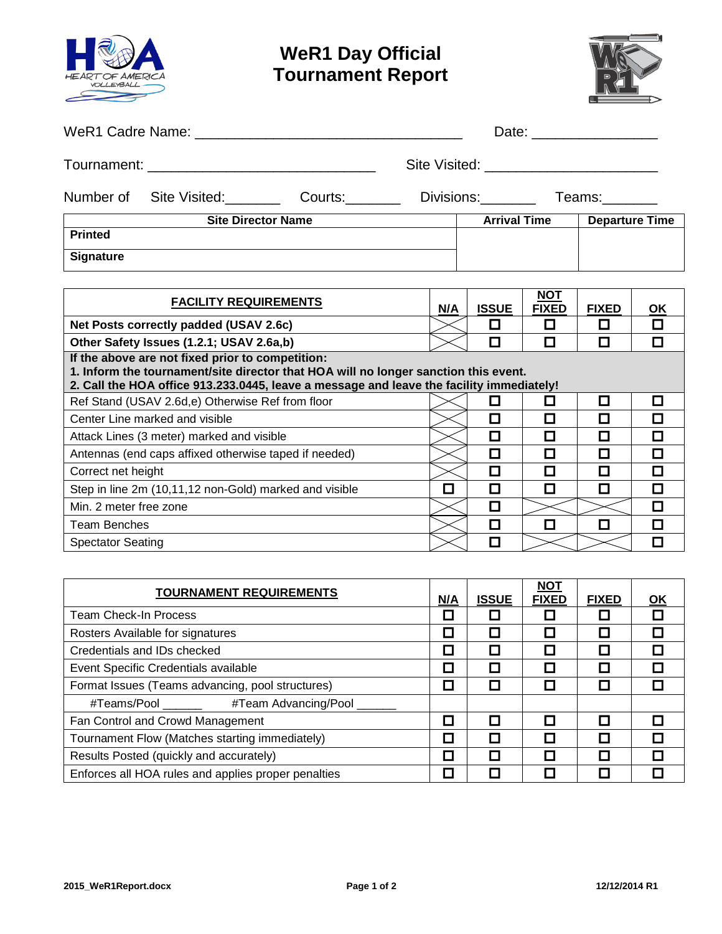

## **WeR1 Day Official Tournament Report**



|                              |                                 |  |  | Date: ________________ |                       |  |  |  |
|------------------------------|---------------------------------|--|--|------------------------|-----------------------|--|--|--|
|                              |                                 |  |  |                        |                       |  |  |  |
|                              | Number of Site Visited: Courts: |  |  |                        | Divisions: Teams:     |  |  |  |
|                              | <b>Site Director Name</b>       |  |  | <b>Arrival Time</b>    | <b>Departure Time</b> |  |  |  |
| <b>Printed</b>               |                                 |  |  |                        |                       |  |  |  |
| <b>Signature</b>             |                                 |  |  |                        |                       |  |  |  |
|                              |                                 |  |  |                        |                       |  |  |  |
| <b>EACH ITV DEALIDEMENTS</b> |                                 |  |  | <b>NOT</b>             |                       |  |  |  |

| <b>FACILITY REQUIREMENTS</b>                                                                                                                                                                                                        |     | <b>ISSUE</b> | ישיי<br><b>FIXED</b> | <b>FIXED</b> | <u>OK</u> |
|-------------------------------------------------------------------------------------------------------------------------------------------------------------------------------------------------------------------------------------|-----|--------------|----------------------|--------------|-----------|
| Net Posts correctly padded (USAV 2.6c)                                                                                                                                                                                              | N/A |              |                      |              | $\Box$    |
| Other Safety Issues (1.2.1; USAV 2.6a,b)                                                                                                                                                                                            |     | П            | П                    |              |           |
| If the above are not fixed prior to competition:<br>1. Inform the tournament/site director that HOA will no longer sanction this event.<br>2. Call the HOA office 913.233.0445, leave a message and leave the facility immediately! |     |              |                      |              |           |
| Ref Stand (USAV 2.6d,e) Otherwise Ref from floor                                                                                                                                                                                    |     |              | П                    |              | П         |
| Center Line marked and visible                                                                                                                                                                                                      |     | П            | П                    |              |           |
| Attack Lines (3 meter) marked and visible                                                                                                                                                                                           |     | П            | П                    |              |           |
| Antennas (end caps affixed otherwise taped if needed)                                                                                                                                                                               |     | П            | П                    |              |           |
| Correct net height                                                                                                                                                                                                                  |     | П            | П                    |              |           |
| Step in line 2m (10,11,12 non-Gold) marked and visible                                                                                                                                                                              | П   | П            | П                    |              | П         |
| Min. 2 meter free zone                                                                                                                                                                                                              |     | $\Box$       |                      |              | П         |
| Team Benches                                                                                                                                                                                                                        |     | $\Box$       | П                    |              |           |
| <b>Spectator Seating</b>                                                                                                                                                                                                            |     |              |                      |              |           |

| <b>TOURNAMENT REQUIREMENTS</b>                      |   | <b>ISSUE</b> | <b>NOT</b><br><b>FIXED</b> | <b>FIXED</b> | <u>OK</u> |
|-----------------------------------------------------|---|--------------|----------------------------|--------------|-----------|
| Team Check-In Process                               |   |              |                            |              |           |
| Rosters Available for signatures                    | П |              |                            |              |           |
| Credentials and IDs checked                         | П |              | П                          |              |           |
| Event Specific Credentials available                | □ |              | П                          |              |           |
| Format Issues (Teams advancing, pool structures)    |   |              | П                          |              |           |
| #Teams/Pool _______ #Team Advancing/Pool __         |   |              |                            |              |           |
| Fan Control and Crowd Management                    | П |              | П                          |              |           |
| Tournament Flow (Matches starting immediately)      | П |              | П                          |              |           |
| Results Posted (quickly and accurately)             | П |              | П                          |              |           |
| Enforces all HOA rules and applies proper penalties |   |              |                            |              |           |